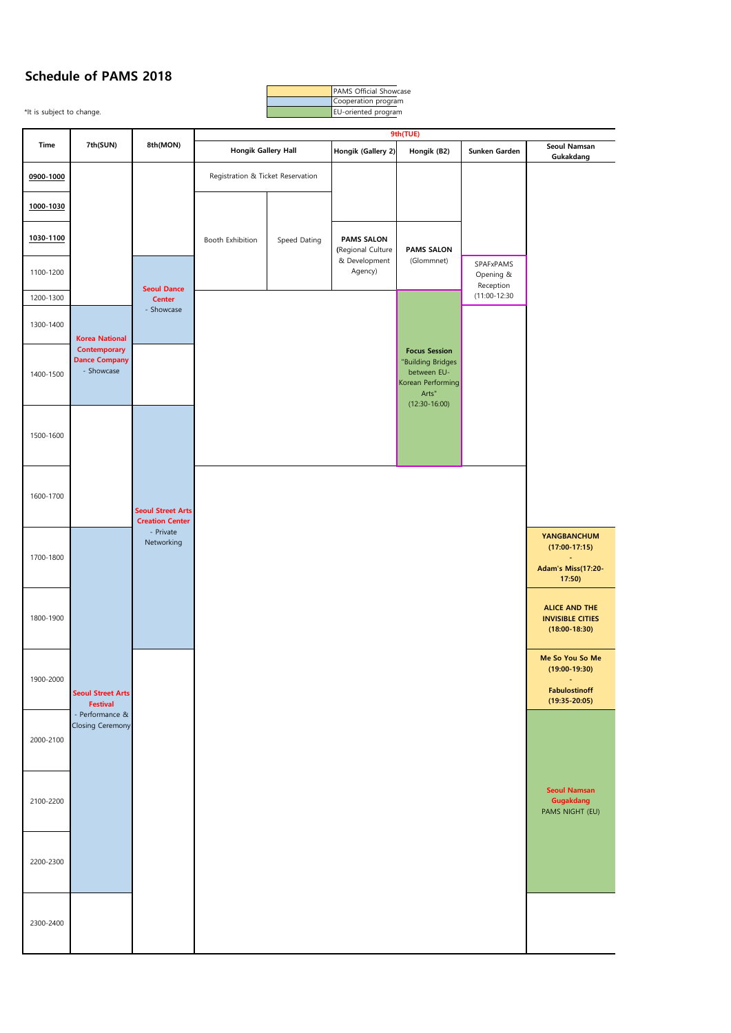## **Schedule of PAMS 2018**

\*It is subject to change. The subject of change. **Hongik (Gallery 2) Hongik (B2) Sunken Garden Seoul Namsan Gukakdang 0900-1000 1000-1030 1030-1100** 1100-1200 1200-1300 1300-1400 1400-1500 1500-1600 1600-1700 1700-1800 **YANGBANCHUM (17:00-17:15) - Adam's Miss(17:20- 17:50)** 1800-1900 **ALICE AND THE INVISIBLE CITIES (18:00-18:30)** 1900-2000 **Me So You So Me (19:00-19:30) - Fabulostinoff (19:35-20:05)** 2000-2100 2100-2200 2200-2300 2300-2400 SPAFxPAMS Opening & Reception (11:00-12:30 **Focus Session** "Building Bridges between EU-Korean Performing Arts" (12:30-16:00) **9th(TUE)** Booth Exhibition Speed Dating **PAMS SALON** (Glommnet) **Time 7th(SUN) 8th(MON) Seoul Street Arts Festival** - Performance & Closing Ceremony **Korea National Contemporary Dance Company** - Showcase **Seoul Dance Center** - Showcase **Seoul Street Arts Creation Center** - Private Networking **Hongik Gallery Hall Seoul Namsan Gugakdang** PAMS NIGHT (EU) **PAMS SALON (**Regional Culture & Development Agency) Registration & Ticket Reservation

PAMS Official Showcase Cooperation program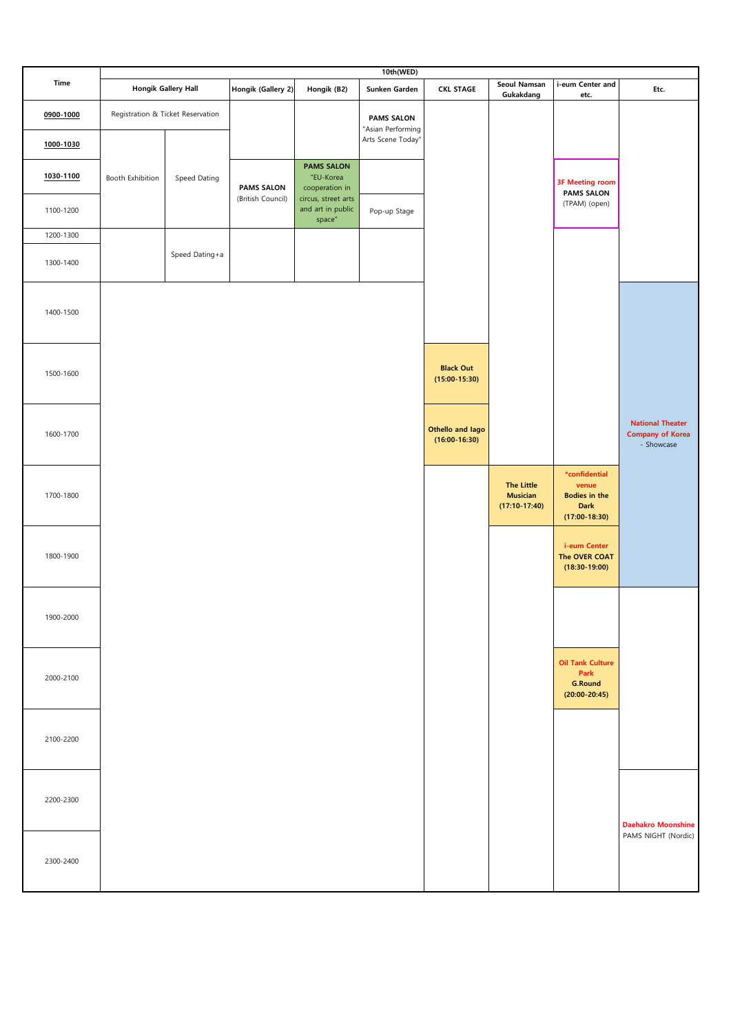|           |                  |                                   |                    |                                                    | 10th(WED)                              |                                     |                                                         |                                                                                  |                                                                  |
|-----------|------------------|-----------------------------------|--------------------|----------------------------------------------------|----------------------------------------|-------------------------------------|---------------------------------------------------------|----------------------------------------------------------------------------------|------------------------------------------------------------------|
| Time      |                  | <b>Hongik Gallery Hall</b>        | Hongik (Gallery 2) | Hongik (B2)                                        | Sunken Garden                          | <b>CKL STAGE</b>                    | Seoul Namsan<br>Gukakdang                               | i-eum Center and<br>etc.                                                         | Etc.                                                             |
| 0900-1000 |                  | Registration & Ticket Reservation |                    |                                                    | <b>PAMS SALON</b><br>"Asian Performing |                                     |                                                         |                                                                                  |                                                                  |
| 1000-1030 |                  |                                   |                    |                                                    | Arts Scene Today"                      |                                     |                                                         |                                                                                  |                                                                  |
| 1030-1100 | Booth Exhibition | Speed Dating                      | <b>PAMS SALON</b>  | <b>PAMS SALON</b><br>"EU-Korea<br>cooperation in   |                                        |                                     |                                                         | <b>3F Meeting room</b><br><b>PAMS SALON</b>                                      |                                                                  |
| 1100-1200 |                  |                                   | (British Council)  | circus, street arts<br>and art in public<br>space" | Pop-up Stage                           |                                     |                                                         | (TPAM) (open)                                                                    |                                                                  |
| 1200-1300 |                  |                                   |                    |                                                    |                                        |                                     |                                                         |                                                                                  |                                                                  |
| 1300-1400 |                  | Speed Dating+a                    |                    |                                                    |                                        |                                     |                                                         |                                                                                  |                                                                  |
| 1400-1500 |                  |                                   |                    |                                                    |                                        |                                     |                                                         |                                                                                  |                                                                  |
| 1500-1600 |                  |                                   |                    |                                                    |                                        | <b>Black Out</b><br>$(15:00-15:30)$ |                                                         |                                                                                  |                                                                  |
| 1600-1700 |                  |                                   |                    |                                                    |                                        | Othello and lago<br>$(16:00-16:30)$ |                                                         |                                                                                  | <b>National Theater</b><br><b>Company of Korea</b><br>- Showcase |
| 1700-1800 |                  |                                   |                    |                                                    |                                        |                                     | <b>The Little</b><br><b>Musician</b><br>$(17:10-17:40)$ | *confidential<br>venue<br><b>Bodies in the</b><br><b>Dark</b><br>$(17:00-18:30)$ |                                                                  |
| 1800-1900 |                  |                                   |                    |                                                    |                                        |                                     |                                                         | i-eum Center<br>The OVER COAT<br>$(18:30-19:00)$                                 |                                                                  |
| 1900-2000 |                  |                                   |                    |                                                    |                                        |                                     |                                                         |                                                                                  |                                                                  |
| 2000-2100 |                  |                                   |                    |                                                    |                                        |                                     |                                                         | <b>Oil Tank Culture</b><br>Park<br><b>G.Round</b><br>$(20:00-20:45)$             |                                                                  |
| 2100-2200 |                  |                                   |                    |                                                    |                                        |                                     |                                                         |                                                                                  |                                                                  |
| 2200-2300 |                  |                                   |                    |                                                    |                                        |                                     |                                                         |                                                                                  | <b>Daehakro Moonshine</b>                                        |
| 2300-2400 |                  |                                   |                    |                                                    |                                        |                                     |                                                         |                                                                                  | PAMS NIGHT (Nordic)                                              |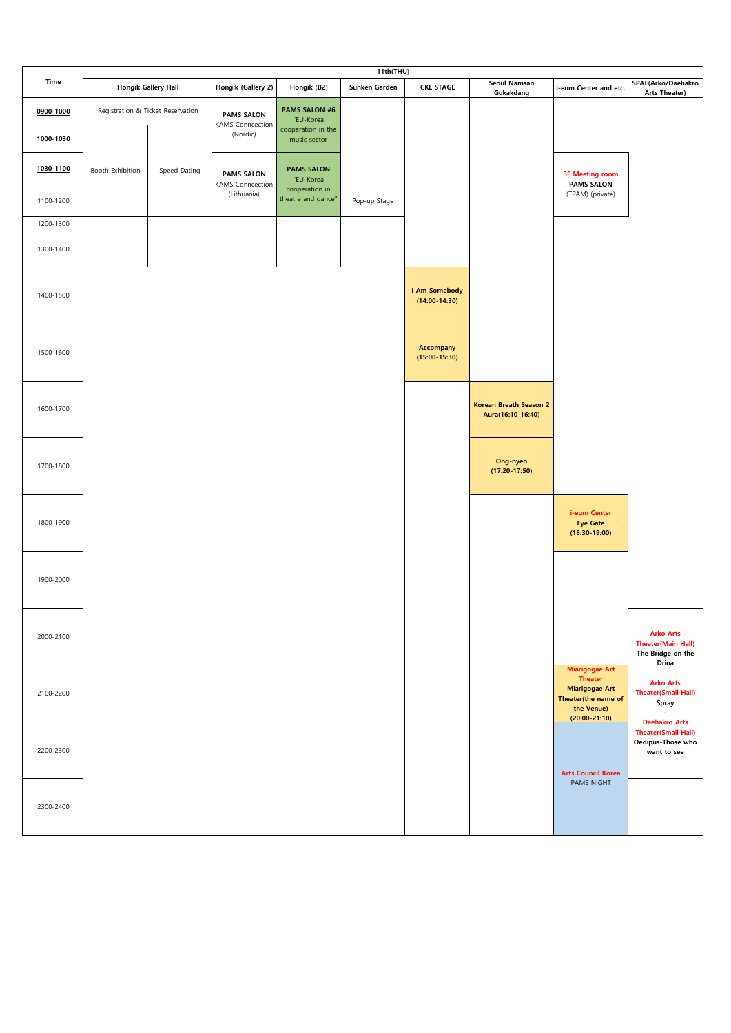|                        |                  |                                   |                                                   |                                                                         | 11th(THU)     |                                  |                                                    |                                                                                                                          |                                                                                                |
|------------------------|------------------|-----------------------------------|---------------------------------------------------|-------------------------------------------------------------------------|---------------|----------------------------------|----------------------------------------------------|--------------------------------------------------------------------------------------------------------------------------|------------------------------------------------------------------------------------------------|
| Time                   |                  | <b>Hongik Gallery Hall</b>        | Hongik (Gallery 2)                                | Hongik (B2)                                                             | Sunken Garden | <b>CKL STAGE</b>                 | Seoul Namsan<br>Gukakdang                          | i-eum Center and etc.                                                                                                    | SPAF(Arko/Daehakro<br>Arts Theater)                                                            |
| 0900-1000<br>1000-1030 |                  | Registration & Ticket Reservation | <b>PAMS SALON</b><br>KAMS Conncection<br>(Nordic) | <b>PAMS SALON #6</b><br>"EU-Korea<br>cooperation in the<br>music sector |               |                                  |                                                    |                                                                                                                          |                                                                                                |
|                        |                  |                                   |                                                   |                                                                         |               |                                  |                                                    |                                                                                                                          |                                                                                                |
| 1030-1100              | Booth Exhibition | Speed Dating                      | <b>PAMS SALON</b><br>KAMS Conncection             | <b>PAMS SALON</b><br>"EU-Korea<br>cooperation in                        |               |                                  |                                                    | <b>3F Meeting room</b><br><b>PAMS SALON</b>                                                                              |                                                                                                |
| 1100-1200              |                  |                                   | (Lithuania)                                       | theatre and dance"                                                      | Pop-up Stage  |                                  |                                                    | (TPAM) (private)                                                                                                         |                                                                                                |
| 1200-1300              |                  |                                   |                                                   |                                                                         |               |                                  |                                                    |                                                                                                                          |                                                                                                |
| 1300-1400              |                  |                                   |                                                   |                                                                         |               |                                  |                                                    |                                                                                                                          |                                                                                                |
| 1400-1500              |                  |                                   |                                                   |                                                                         |               | I Am Somebody<br>$(14:00-14:30)$ |                                                    |                                                                                                                          |                                                                                                |
| 1500-1600              |                  |                                   |                                                   |                                                                         |               | Accompany<br>$(15:00-15:30)$     |                                                    |                                                                                                                          |                                                                                                |
| 1600-1700              |                  |                                   |                                                   |                                                                         |               |                                  | <b>Korean Breath Season 2</b><br>Aura(16:10-16:40) |                                                                                                                          |                                                                                                |
| 1700-1800              |                  |                                   |                                                   |                                                                         |               |                                  | Ong-nyeo<br>$(17:20-17:50)$                        |                                                                                                                          |                                                                                                |
| 1800-1900              |                  |                                   |                                                   |                                                                         |               |                                  |                                                    | i-eum Center<br><b>Eye Gate</b><br>$(18:30-19:00)$                                                                       |                                                                                                |
| 1900-2000              |                  |                                   |                                                   |                                                                         |               |                                  |                                                    |                                                                                                                          |                                                                                                |
| 2000-2100              |                  |                                   |                                                   |                                                                         |               |                                  |                                                    |                                                                                                                          | <b>Arko Arts</b><br><b>Theater(Main Hall)</b><br>The Bridge on the                             |
| 2100-2200              |                  |                                   |                                                   |                                                                         |               |                                  |                                                    | <b>Miarigogae Art</b><br><b>Theater</b><br><b>Miarigogae Art</b><br>Theater(the name of<br>the Venue)<br>$(20:00-21:10)$ | Drina<br>×.<br><b>Arko Arts</b><br><b>Theater(Small Hall)</b><br>Spray<br><b>Daehakro Arts</b> |
| 2200-2300              |                  |                                   |                                                   |                                                                         |               |                                  |                                                    |                                                                                                                          | <b>Theater(Small Hall)</b><br>Oedipus-Those who<br>want to see                                 |
| 2300-2400              |                  |                                   |                                                   |                                                                         |               |                                  |                                                    | <b>Arts Council Korea</b><br>PAMS NIGHT                                                                                  |                                                                                                |